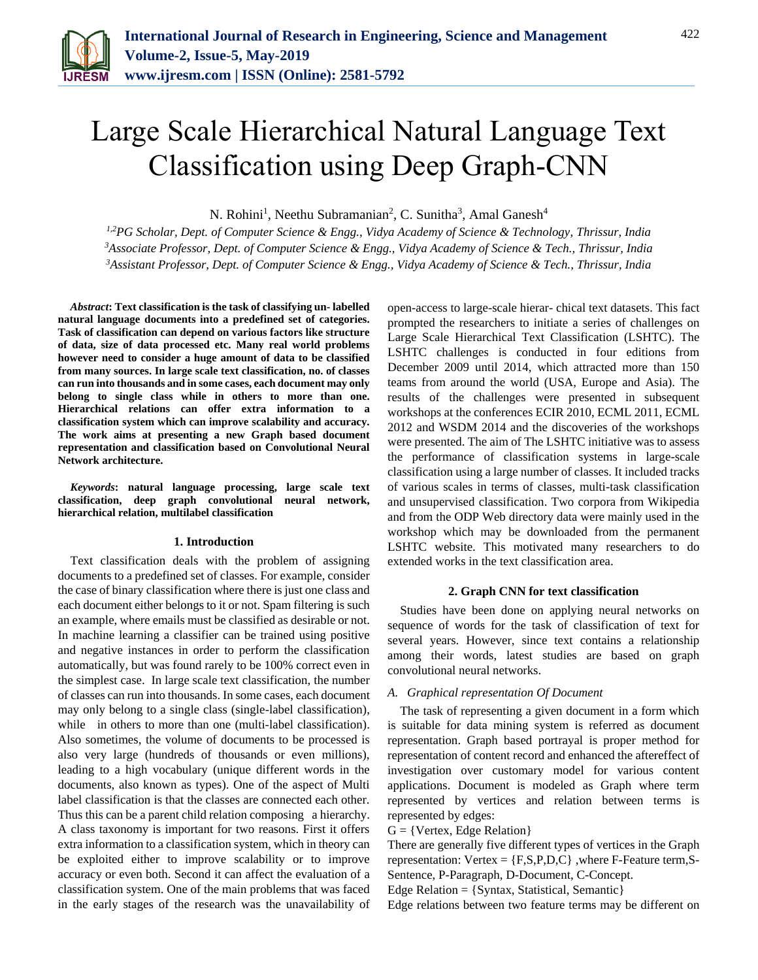

# Large Scale Hierarchical Natural Language Text Classification using Deep Graph-CNN

N. Rohini<sup>1</sup>, Neethu Subramanian<sup>2</sup>, C. Sunitha<sup>3</sup>, Amal Ganesh<sup>4</sup>

*1,2PG Scholar, Dept. of Computer Science & Engg., Vidya Academy of Science & Technology, Thrissur, India <sup>3</sup>Associate Professor, Dept. of Computer Science & Engg., Vidya Academy of Science & Tech., Thrissur, India <sup>3</sup>Assistant Professor, Dept. of Computer Science & Engg., Vidya Academy of Science & Tech., Thrissur, India*

*Abstract***: Text classification is the task of classifying un- labelled natural language documents into a predefined set of categories. Task of classification can depend on various factors like structure of data, size of data processed etc. Many real world problems however need to consider a huge amount of data to be classified from many sources. In large scale text classification, no. of classes can run into thousands and in some cases, each document may only belong to single class while in others to more than one. Hierarchical relations can offer extra information to a classification system which can improve scalability and accuracy. The work aims at presenting a new Graph based document representation and classification based on Convolutional Neural Network architecture.**

*Keywords***: natural language processing, large scale text classification, deep graph convolutional neural network, hierarchical relation, multilabel classification** 

#### **1. Introduction**

Text classification deals with the problem of assigning documents to a predefined set of classes. For example, consider the case of binary classification where there is just one class and each document either belongs to it or not. Spam filtering is such an example, where emails must be classified as desirable or not. In machine learning a classifier can be trained using positive and negative instances in order to perform the classification automatically, but was found rarely to be 100% correct even in the simplest case. In large scale text classification, the number of classes can run into thousands. In some cases, each document may only belong to a single class (single-label classification), while in others to more than one (multi-label classification). Also sometimes, the volume of documents to be processed is also very large (hundreds of thousands or even millions), leading to a high vocabulary (unique different words in the documents, also known as types). One of the aspect of Multi label classification is that the classes are connected each other. Thus this can be a parent child relation composing a hierarchy. A class taxonomy is important for two reasons. First it offers extra information to a classification system, which in theory can be exploited either to improve scalability or to improve accuracy or even both. Second it can affect the evaluation of a classification system. One of the main problems that was faced in the early stages of the research was the unavailability of open-access to large-scale hierar- chical text datasets. This fact prompted the researchers to initiate a series of challenges on Large Scale Hierarchical Text Classification (LSHTC). The LSHTC challenges is conducted in four editions from December 2009 until 2014, which attracted more than 150 teams from around the world (USA, Europe and Asia). The results of the challenges were presented in subsequent workshops at the conferences ECIR 2010, ECML 2011, ECML 2012 and WSDM 2014 and the discoveries of the workshops were presented. The aim of The LSHTC initiative was to assess the performance of classification systems in large-scale classification using a large number of classes. It included tracks of various scales in terms of classes, multi-task classification and unsupervised classification. Two corpora from Wikipedia and from the ODP Web directory data were mainly used in the workshop which may be downloaded from the permanent LSHTC website. This motivated many researchers to do extended works in the text classification area.

## **2. Graph CNN for text classification**

Studies have been done on applying neural networks on sequence of words for the task of classification of text for several years. However, since text contains a relationship among their words, latest studies are based on graph convolutional neural networks.

## *A. Graphical representation Of Document*

The task of representing a given document in a form which is suitable for data mining system is referred as document representation. Graph based portrayal is proper method for representation of content record and enhanced the aftereffect of investigation over customary model for various content applications. Document is modeled as Graph where term represented by vertices and relation between terms is represented by edges:

## $G = \{Vertex, Edge Relation\}$

There are generally five different types of vertices in the Graph representation:  $Vertex = {F,S,P,D,C}$ , where  $F-Feature$  term,  $S-$ Sentence, P-Paragraph, D-Document, C-Concept.

Edge Relation = {Syntax, Statistical, Semantic}

Edge relations between two feature terms may be different on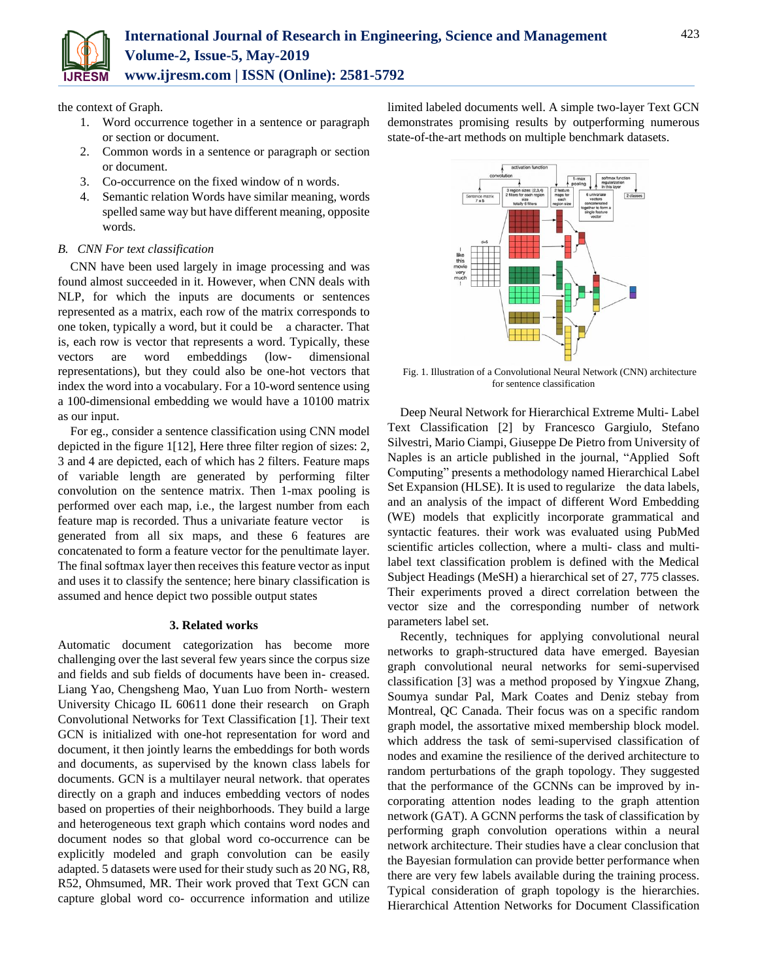the context of Graph.

- 1. Word occurrence together in a sentence or paragraph or section or document.
- 2. Common words in a sentence or paragraph or section or document.
- 3. Co-occurrence on the fixed window of n words.
- 4. Semantic relation Words have similar meaning, words spelled same way but have different meaning, opposite words.

# *B. CNN For text classification*

CNN have been used largely in image processing and was found almost succeeded in it. However, when CNN deals with NLP, for which the inputs are documents or sentences represented as a matrix, each row of the matrix corresponds to one token, typically a word, but it could be a character. That is, each row is vector that represents a word. Typically, these vectors are word embeddings (low- dimensional representations), but they could also be one-hot vectors that index the word into a vocabulary. For a 10-word sentence using a 100-dimensional embedding we would have a 10100 matrix as our input.

For eg., consider a sentence classification using CNN model depicted in the figure 1[12], Here three filter region of sizes: 2, 3 and 4 are depicted, each of which has 2 filters. Feature maps of variable length are generated by performing filter convolution on the sentence matrix. Then 1-max pooling is performed over each map, i.e., the largest number from each feature map is recorded. Thus a univariate feature vector is generated from all six maps, and these 6 features are concatenated to form a feature vector for the penultimate layer. The final softmax layer then receives this feature vector as input and uses it to classify the sentence; here binary classification is assumed and hence depict two possible output states

# **3. Related works**

Automatic document categorization has become more challenging over the last several few years since the corpus size and fields and sub fields of documents have been in- creased. Liang Yao, Chengsheng Mao, Yuan Luo from North- western University Chicago IL 60611 done their research on Graph Convolutional Networks for Text Classification [1]. Their text GCN is initialized with one-hot representation for word and document, it then jointly learns the embeddings for both words and documents, as supervised by the known class labels for documents. GCN is a multilayer neural network. that operates directly on a graph and induces embedding vectors of nodes based on properties of their neighborhoods. They build a large and heterogeneous text graph which contains word nodes and document nodes so that global word co-occurrence can be explicitly modeled and graph convolution can be easily adapted. 5 datasets were used for their study such as 20 NG, R8, R52, Ohmsumed, MR. Their work proved that Text GCN can capture global word co- occurrence information and utilize

limited labeled documents well. A simple two-layer Text GCN demonstrates promising results by outperforming numerous state-of-the-art methods on multiple benchmark datasets.



Fig. 1. Illustration of a Convolutional Neural Network (CNN) architecture for sentence classification

Deep Neural Network for Hierarchical Extreme Multi- Label Text Classification [2] by Francesco Gargiulo, Stefano Silvestri, Mario Ciampi, Giuseppe De Pietro from University of Naples is an article published in the journal, "Applied Soft Computing" presents a methodology named Hierarchical Label Set Expansion (HLSE). It is used to regularize the data labels, and an analysis of the impact of different Word Embedding (WE) models that explicitly incorporate grammatical and syntactic features. their work was evaluated using PubMed scientific articles collection, where a multi- class and multilabel text classification problem is defined with the Medical Subject Headings (MeSH) a hierarchical set of 27, 775 classes. Their experiments proved a direct correlation between the vector size and the corresponding number of network parameters label set.

Recently, techniques for applying convolutional neural networks to graph-structured data have emerged. Bayesian graph convolutional neural networks for semi-supervised classification [3] was a method proposed by Yingxue Zhang, Soumya sundar Pal, Mark Coates and Deniz stebay from Montreal, QC Canada. Their focus was on a specific random graph model, the assortative mixed membership block model. which address the task of semi-supervised classification of nodes and examine the resilience of the derived architecture to random perturbations of the graph topology. They suggested that the performance of the GCNNs can be improved by incorporating attention nodes leading to the graph attention network (GAT). A GCNN performs the task of classification by performing graph convolution operations within a neural network architecture. Their studies have a clear conclusion that the Bayesian formulation can provide better performance when there are very few labels available during the training process. Typical consideration of graph topology is the hierarchies. Hierarchical Attention Networks for Document Classification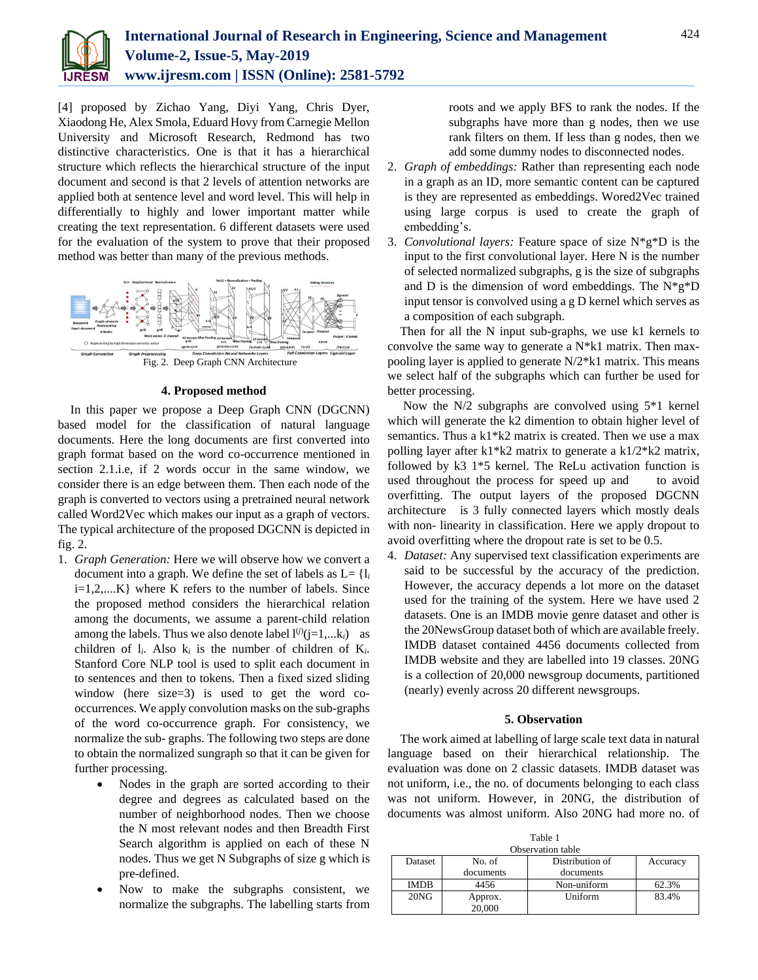

[4] proposed by Zichao Yang, Diyi Yang, Chris Dyer, Xiaodong He, Alex Smola, Eduard Hovy from Carnegie Mellon University and Microsoft Research, Redmond has two distinctive characteristics. One is that it has a hierarchical structure which reflects the hierarchical structure of the input document and second is that 2 levels of attention networks are applied both at sentence level and word level. This will help in differentially to highly and lower important matter while creating the text representation. 6 different datasets were used for the evaluation of the system to prove that their proposed method was better than many of the previous methods.



#### **4. Proposed method**

In this paper we propose a Deep Graph CNN (DGCNN) based model for the classification of natural language documents. Here the long documents are first converted into graph format based on the word co-occurrence mentioned in section 2.1.i.e, if 2 words occur in the same window, we consider there is an edge between them. Then each node of the graph is converted to vectors using a pretrained neural network called Word2Vec which makes our input as a graph of vectors. The typical architecture of the proposed DGCNN is depicted in fig. 2.

- 1. *Graph Generation:* Here we will observe how we convert a document into a graph. We define the set of labels as  $L = \{l_i\}$ i=1,2,....K} where K refers to the number of labels. Since the proposed method considers the hierarchical relation among the documents, we assume a parent-child relation among the labels. Thus we also denote label  $l^{(j)}(j=1,...k_i)$  as children of  $l_i$ . Also  $k_i$  is the number of children of  $K_i$ . Stanford Core NLP tool is used to split each document in to sentences and then to tokens. Then a fixed sized sliding window (here size=3) is used to get the word cooccurrences. We apply convolution masks on the sub-graphs of the word co-occurrence graph. For consistency, we normalize the sub- graphs. The following two steps are done to obtain the normalized sungraph so that it can be given for further processing.
	- Nodes in the graph are sorted according to their degree and degrees as calculated based on the number of neighborhood nodes. Then we choose the N most relevant nodes and then Breadth First Search algorithm is applied on each of these N nodes. Thus we get N Subgraphs of size g which is pre-defined.
	- Now to make the subgraphs consistent, we normalize the subgraphs. The labelling starts from

roots and we apply BFS to rank the nodes. If the subgraphs have more than g nodes, then we use rank filters on them. If less than g nodes, then we add some dummy nodes to disconnected nodes.

- 2. *Graph of embeddings:* Rather than representing each node in a graph as an ID, more semantic content can be captured is they are represented as embeddings. Wored2Vec trained using large corpus is used to create the graph of embedding's.
- 3. *Convolutional layers:* Feature space of size N\*g\*D is the input to the first convolutional layer. Here N is the number of selected normalized subgraphs, g is the size of subgraphs and D is the dimension of word embeddings. The  $N*g*D$ input tensor is convolved using a g D kernel which serves as a composition of each subgraph.

Then for all the N input sub-graphs, we use k1 kernels to convolve the same way to generate a N\*k1 matrix. Then maxpooling layer is applied to generate N/2\*k1 matrix. This means we select half of the subgraphs which can further be used for better processing.

Now the N/2 subgraphs are convolved using 5\*1 kernel which will generate the k2 dimention to obtain higher level of semantics. Thus a k1\*k2 matrix is created. Then we use a max polling layer after k1\*k2 matrix to generate a k1/2\*k2 matrix, followed by k3 1\*5 kernel. The ReLu activation function is used throughout the process for speed up and to avoid overfitting. The output layers of the proposed DGCNN architecture is 3 fully connected layers which mostly deals with non- linearity in classification. Here we apply dropout to avoid overfitting where the dropout rate is set to be 0.5.

4. *Dataset:* Any supervised text classification experiments are said to be successful by the accuracy of the prediction. However, the accuracy depends a lot more on the dataset used for the training of the system. Here we have used 2 datasets. One is an IMDB movie genre dataset and other is the 20NewsGroup dataset both of which are available freely. IMDB dataset contained 4456 documents collected from IMDB website and they are labelled into 19 classes. 20NG is a collection of 20,000 newsgroup documents, partitioned (nearly) evenly across 20 different newsgroups.

## **5. Observation**

The work aimed at labelling of large scale text data in natural language based on their hierarchical relationship. The evaluation was done on 2 classic datasets. IMDB dataset was not uniform, i.e., the no. of documents belonging to each class was not uniform. However, in 20NG, the distribution of documents was almost uniform. Also 20NG had more no. of

| Observation table |                   |                 |          |
|-------------------|-------------------|-----------------|----------|
| Dataset           | No. of            | Distribution of | Accuracy |
|                   | documents         | documents       |          |
| <b>IMDB</b>       | 4456              | Non-uniform     | 62.3%    |
| $20N$ G           | Approx.<br>20,000 | Uniform         | 83.4%    |